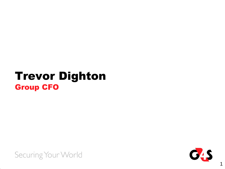## Trevor Dighton Group CFO

Securing Your World



1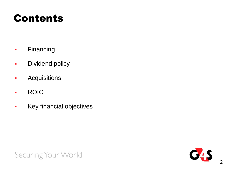## Contents

- **Financing**
- **Dividend policy**
- **Acquisitions**
- **ROIC**
- **Key financial objectives**



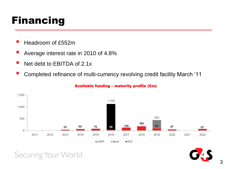## Financing

- Headroom of £552m
- Average interest rate in 2010 of 4.8%
- Net debt to EBITDA of 2.1x

Securing Your World

Completed refinance of multi-currency revolving credit facility March '11



#### Available funding – maturity profile (£m)

3 3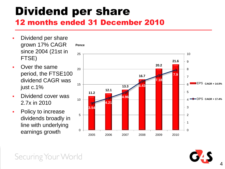# Dividend per share

### 12 months ended 31 December 2010

- Dividend per share grown 17% CAGR since 2004 (21st in FTSE)
- Over the same period, the FTSE100 dividend CAGR was just c.1%
- **Dividend cover was** 2.7x in 2010
- Policy to increase dividends broadly in line with underlying earnings growth



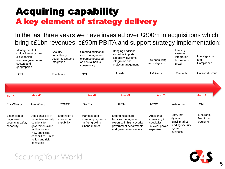### Acquiring capability A key element of strategy delivery

### In the last three years we have invested over £800m in acquisitions which bring c£1bn revenues, c£90m PBITA and support strategy implementation:

| Management of<br>critical infrastructure<br>& expansion<br>into new government<br>sectors and<br>geographies |                                                                                                                                                                             | Security<br>consultancy,<br>design & systems<br>integration | Creating additional<br>cash management<br>expertise focussed<br>on central banks<br>consultancy | Bringing additional<br>expertise in ports<br>capability, systems<br>integration and<br>project management                          | Risk consulting<br>and mitigation                                      | Leading<br>systems<br>integration<br>business in<br><b>Brazil</b>                   | Investigations<br>and<br>Compliance   |
|--------------------------------------------------------------------------------------------------------------|-----------------------------------------------------------------------------------------------------------------------------------------------------------------------------|-------------------------------------------------------------|-------------------------------------------------------------------------------------------------|------------------------------------------------------------------------------------------------------------------------------------|------------------------------------------------------------------------|-------------------------------------------------------------------------------------|---------------------------------------|
| <b>GSL</b>                                                                                                   |                                                                                                                                                                             | Touchcom                                                    | SMI                                                                                             | Adesta                                                                                                                             | Hill & Assoc                                                           | Plantech                                                                            | Cotswold Group                        |
|                                                                                                              |                                                                                                                                                                             |                                                             |                                                                                                 |                                                                                                                                    |                                                                        |                                                                                     |                                       |
| Mar '08                                                                                                      | <b>May '08</b>                                                                                                                                                              |                                                             | Jan '09                                                                                         | <b>Nov '09</b>                                                                                                                     | Jan '10                                                                |                                                                                     | Apr '11                               |
| RockSteady                                                                                                   | ArmorGroup                                                                                                                                                                  | <b>RONCO</b>                                                | <b>SecPoint</b>                                                                                 | All Star                                                                                                                           | <b>NSSC</b>                                                            | Instalarme                                                                          | <b>GML</b>                            |
| Expansion of<br>major event<br>security & safety<br>capability                                               | Additional skill in<br>protective security<br>solutions for<br>governments and<br>multinationals.<br>New specialist<br>capabilities - mine<br>action and risk<br>consulting | Expansion of<br>mine action<br>capability                   | Market leader<br>in security systems<br>in fast-growing<br>Ghana market                         | <b>Extending secure</b><br>facilities management<br>expertise in high security<br>government departments<br>and government sectors | Additional<br>consulting &<br>specialist<br>nuclear power<br>expertise | Entry into<br>dynamic<br>Brazil market -<br>leading security<br>systems<br>business | Electronic<br>Monitoring<br>equipment |

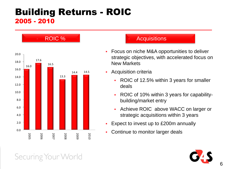### Building Returns - ROIC 2005 - 2010



#### **Acquisitions**

- **Focus on niche M&A opportunities to deliver** strategic objectives, with accelerated focus on New Markets
- **Acquisition criteria** 
	- ROIC of 12.5% within 3 years for smaller deals
	- ROIC of 10% within 3 years for capabilitybuilding/market entry
	- **Achieve ROIC above WACC on larger or** strategic acquisitions within 3 years
- **Expect to invest up to £200m annually**
- Continue to monitor larger deals



### Securing Your World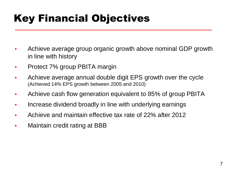## Key Financial Objectives

- Achieve average group organic growth above nominal GDP growth in line with history
- **Protect 7% group PBITA margin**
- Achieve average annual double digit EPS growth over the cycle (Achieved 14% EPS growth between 2005 and 2010)
- Achieve cash flow generation equivalent to 85% of group PBITA
- **Increase dividend broadly in line with underlying earnings**
- Achieve and maintain effective tax rate of 22% after 2012
- Maintain credit rating at BBB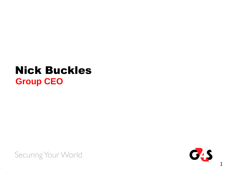## Nick Buckles **Group CEO**

Securing Your World



1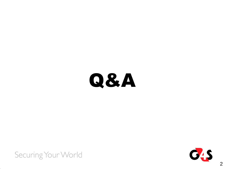

Securing Your World

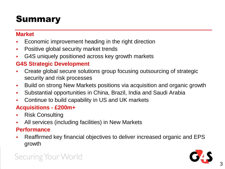## **Summary**

#### **Market**

- Economic improvement heading in the right direction
- **Positive global security market trends**
- G4S uniquely positioned across key growth markets

### **G4S Strategic Development**

- Create global secure solutions group focusing outsourcing of strategic security and risk processes
- Build on strong New Markets positions via acquisition and organic growth
- Substantial opportunities in China, Brazil, India and Saudi Arabia
- **Continue to build capability in US and UK markets**

### **Acquisitions - £200m+**

- Risk Consulting
- All services (including facilities) in New Markets

#### **Performance**

 Reaffirmed key financial objectives to deliver increased organic and EPS growth